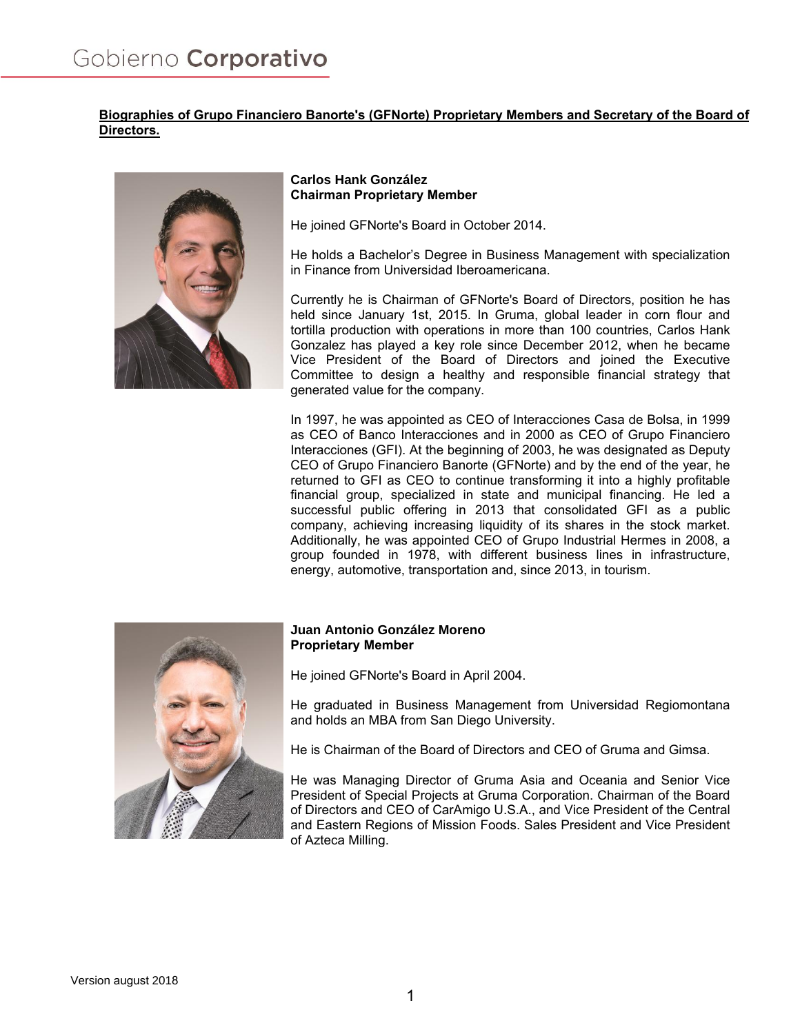# **Biographies of Grupo Financiero Banorte's (GFNorte) Proprietary Members and Secretary of the Board of Directors.**



### **Carlos Hank González Chairman Proprietary Member**

He joined GFNorte's Board in October 2014.

He holds a Bachelor's Degree in Business Management with specialization in Finance from Universidad Iberoamericana.

Currently he is Chairman of GFNorte's Board of Directors, position he has held since January 1st, 2015. In Gruma, global leader in corn flour and tortilla production with operations in more than 100 countries, Carlos Hank Gonzalez has played a key role since December 2012, when he became Vice President of the Board of Directors and joined the Executive Committee to design a healthy and responsible financial strategy that generated value for the company.

In 1997, he was appointed as CEO of Interacciones Casa de Bolsa, in 1999 as CEO of Banco Interacciones and in 2000 as CEO of Grupo Financiero Interacciones (GFI). At the beginning of 2003, he was designated as Deputy CEO of Grupo Financiero Banorte (GFNorte) and by the end of the year, he returned to GFI as CEO to continue transforming it into a highly profitable financial group, specialized in state and municipal financing. He led a successful public offering in 2013 that consolidated GFI as a public company, achieving increasing liquidity of its shares in the stock market. Additionally, he was appointed CEO of Grupo Industrial Hermes in 2008, a group founded in 1978, with different business lines in infrastructure, energy, automotive, transportation and, since 2013, in tourism.



## **Juan Antonio González Moreno Proprietary Member**

He joined GFNorte's Board in April 2004.

He graduated in Business Management from Universidad Regiomontana and holds an MBA from San Diego University.

He is Chairman of the Board of Directors and CEO of Gruma and Gimsa.

He was Managing Director of Gruma Asia and Oceania and Senior Vice President of Special Projects at Gruma Corporation. Chairman of the Board of Directors and CEO of CarAmigo U.S.A., and Vice President of the Central and Eastern Regions of Mission Foods. Sales President and Vice President of Azteca Milling.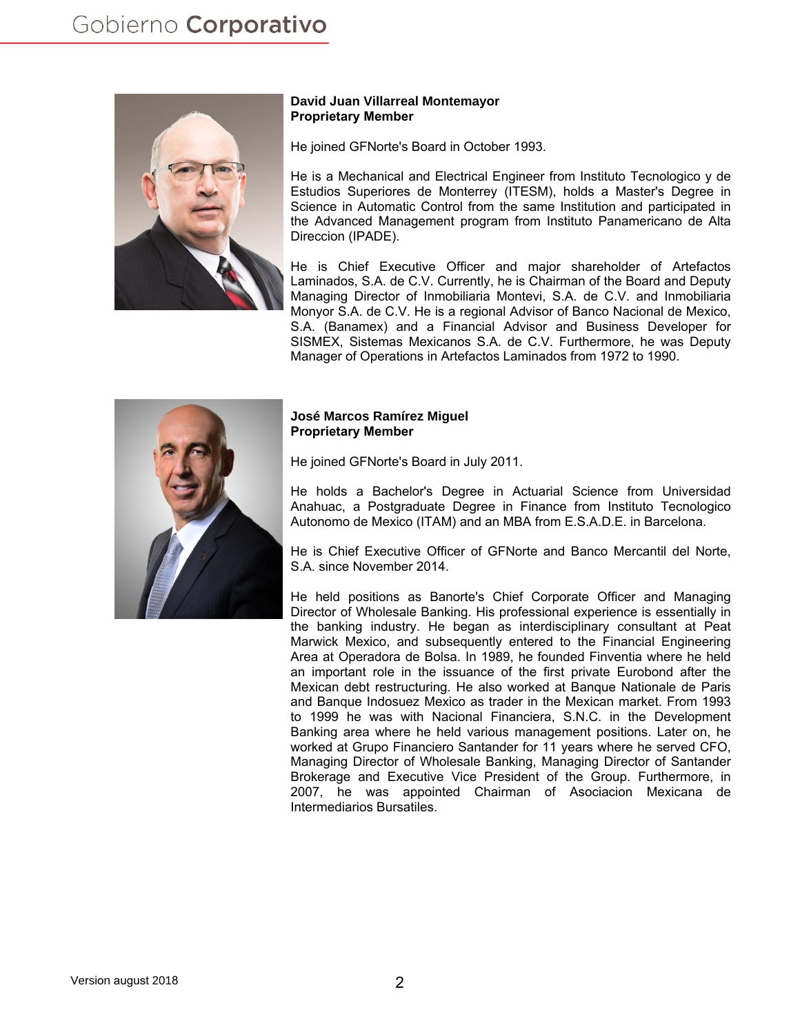

### **David Juan Villarreal Montemayor Proprietary Member**

He joined GFNorte's Board in October 1993.

He is a Mechanical and Electrical Engineer from Instituto Tecnologico y de Estudios Superiores de Monterrey (ITESM), holds a Master's Degree in Science in Automatic Control from the same Institution and participated in the Advanced Management program from Instituto Panamericano de Alta Direccion (IPADE).

He is Chief Executive Officer and major shareholder of Artefactos Laminados, S.A. de C.V. Currently, he is Chairman of the Board and Deputy Managing Director of Inmobiliaria Montevi, S.A. de C.V. and Inmobiliaria Monyor S.A. de C.V. He is a regional Advisor of Banco Nacional de Mexico, S.A. (Banamex) and a Financial Advisor and Business Developer for SISMEX, Sistemas Mexicanos S.A. de C.V. Furthermore, he was Deputy Manager of Operations in Artefactos Laminados from 1972 to 1990.



### **José Marcos Ramírez Miguel Proprietary Member**

He joined GFNorte's Board in July 2011.

He holds a Bachelor's Degree in Actuarial Science from Universidad Anahuac, a Postgraduate Degree in Finance from Instituto Tecnologico Autonomo de Mexico (ITAM) and an MBA from E.S.A.D.E. in Barcelona.

He is Chief Executive Officer of GFNorte and Banco Mercantil del Norte, S.A. since November 2014.

He held positions as Banorte's Chief Corporate Officer and Managing Director of Wholesale Banking. His professional experience is essentially in the banking industry. He began as interdisciplinary consultant at Peat Marwick Mexico, and subsequently entered to the Financial Engineering Area at Operadora de Bolsa. In 1989, he founded Finventia where he held an important role in the issuance of the first private Eurobond after the Mexican debt restructuring. He also worked at Banque Nationale de Paris and Banque Indosuez Mexico as trader in the Mexican market. From 1993 to 1999 he was with Nacional Financiera, S.N.C. in the Development Banking area where he held various management positions. Later on, he worked at Grupo Financiero Santander for 11 years where he served CFO, Managing Director of Wholesale Banking, Managing Director of Santander Brokerage and Executive Vice President of the Group. Furthermore, in 2007, he was appointed Chairman of Asociacion Mexicana de Intermediarios Bursatiles.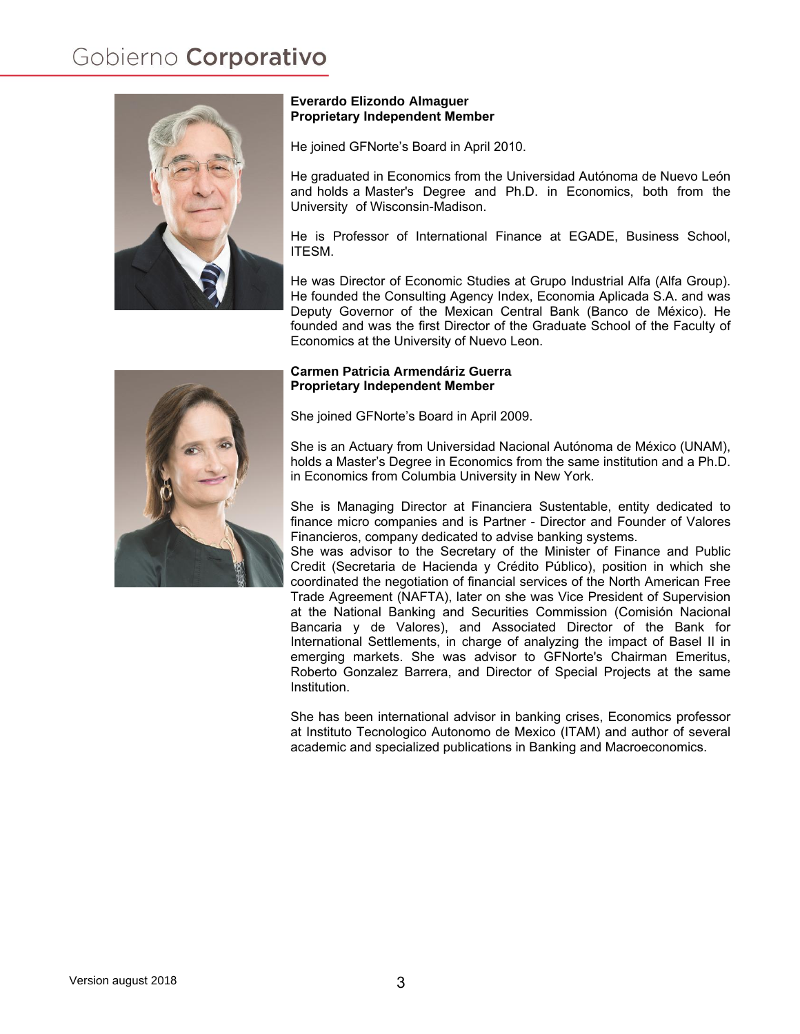

### **Everardo Elizondo Almaguer Proprietary Independent Member**

He joined GFNorte's Board in April 2010.

He graduated in Economics from the Universidad Autónoma de Nuevo León and holds a Master's Degree and Ph.D. in Economics, both from the University of Wisconsin-Madison.

He is Professor of International Finance at EGADE, Business School, ITESM.

He was Director of Economic Studies at Grupo Industrial Alfa (Alfa Group). He founded the Consulting Agency Index, Economia Aplicada S.A. and was Deputy Governor of the Mexican Central Bank (Banco de México). He founded and was the first Director of the Graduate School of the Faculty of Economics at the University of Nuevo Leon.

### **Carmen Patricia Armendáriz Guerra Proprietary Independent Member**

She joined GFNorte's Board in April 2009.

She is an Actuary from Universidad Nacional Autónoma de México (UNAM), holds a Master's Degree in Economics from the same institution and a Ph.D. in Economics from Columbia University in New York.

She is Managing Director at Financiera Sustentable, entity dedicated to finance micro companies and is Partner - Director and Founder of Valores Financieros, company dedicated to advise banking systems.

She was advisor to the Secretary of the Minister of Finance and Public Credit (Secretaria de Hacienda y Crédito Público), position in which she coordinated the negotiation of financial services of the North American Free Trade Agreement (NAFTA), later on she was Vice President of Supervision at the National Banking and Securities Commission (Comisión Nacional Bancaria y de Valores), and Associated Director of the Bank for International Settlements, in charge of analyzing the impact of Basel II in emerging markets. She was advisor to GFNorte's Chairman Emeritus, Roberto Gonzalez Barrera, and Director of Special Projects at the same Institution.

She has been international advisor in banking crises, Economics professor at Instituto Tecnologico Autonomo de Mexico (ITAM) and author of several academic and specialized publications in Banking and Macroeconomics.

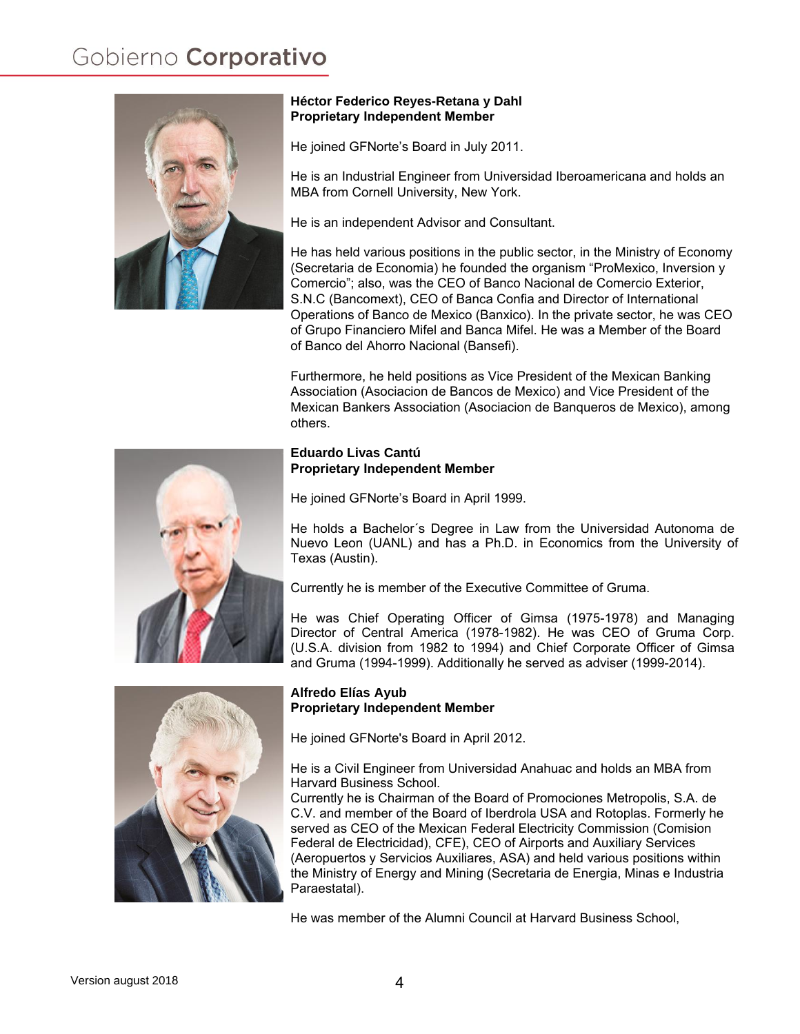

## **Héctor Federico Reyes-Retana y Dahl Proprietary Independent Member**

He joined GFNorte's Board in July 2011.

He is an Industrial Engineer from Universidad Iberoamericana and holds an MBA from Cornell University, New York.

He is an independent Advisor and Consultant.

He has held various positions in the public sector, in the Ministry of Economy (Secretaria de Economia) he founded the organism "ProMexico, Inversion y Comercio"; also, was the CEO of Banco Nacional de Comercio Exterior, S.N.C (Bancomext), CEO of Banca Confia and Director of International Operations of Banco de Mexico (Banxico). In the private sector, he was CEO of Grupo Financiero Mifel and Banca Mifel. He was a Member of the Board of Banco del Ahorro Nacional (Bansefi).

Furthermore, he held positions as Vice President of the Mexican Banking Association (Asociacion de Bancos de Mexico) and Vice President of the Mexican Bankers Association (Asociacion de Banqueros de Mexico), among others.

# **Eduardo Livas Cantú Proprietary Independent Member**

He joined GFNorte's Board in April 1999.

He holds a Bachelor´s Degree in Law from the Universidad Autonoma de Nuevo Leon (UANL) and has a Ph.D. in Economics from the University of Texas (Austin).

Currently he is member of the Executive Committee of Gruma.

He was Chief Operating Officer of Gimsa (1975-1978) and Managing Director of Central America (1978-1982). He was CEO of Gruma Corp. (U.S.A. division from 1982 to 1994) and Chief Corporate Officer of Gimsa and Gruma (1994-1999). Additionally he served as adviser (1999-2014).



# **Alfredo Elías Ayub Proprietary Independent Member**

He joined GFNorte's Board in April 2012.

He is a Civil Engineer from Universidad Anahuac and holds an MBA from Harvard Business School.

Currently he is Chairman of the Board of Promociones Metropolis, S.A. de C.V. and member of the Board of Iberdrola USA and Rotoplas. Formerly he served as CEO of the Mexican Federal Electricity Commission (Comision Federal de Electricidad), CFE), CEO of Airports and Auxiliary Services (Aeropuertos y Servicios Auxiliares, ASA) and held various positions within the Ministry of Energy and Mining (Secretaria de Energia, Minas e Industria Paraestatal).

He was member of the Alumni Council at Harvard Business School,

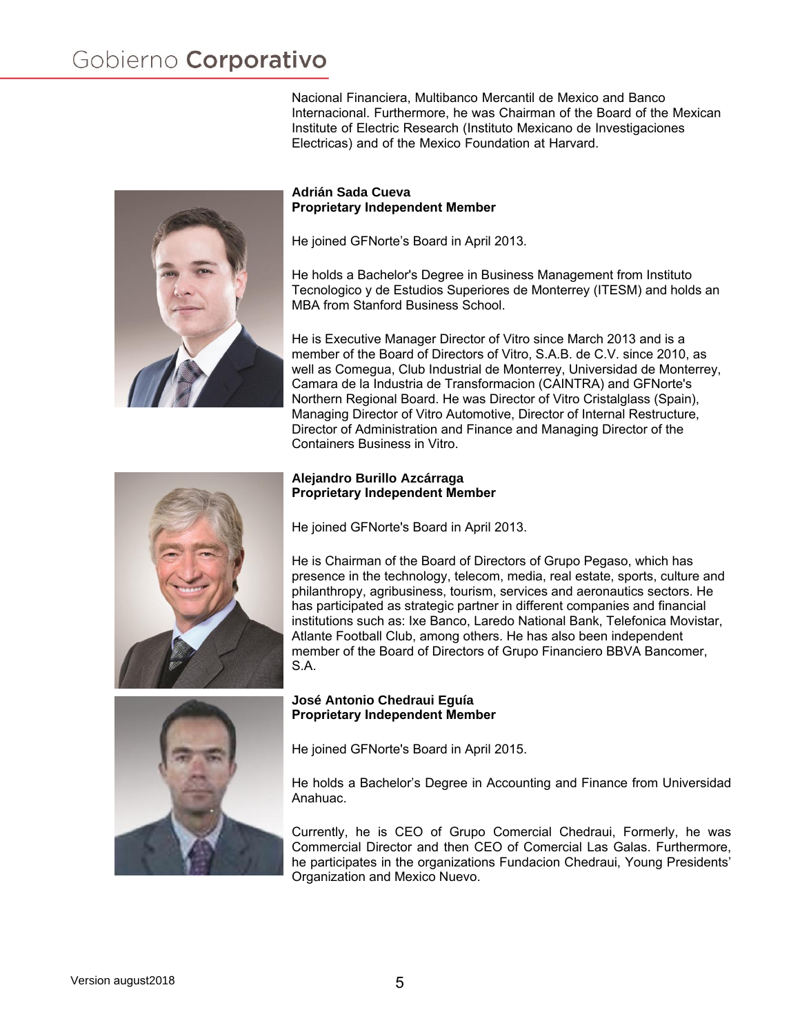Nacional Financiera, Multibanco Mercantil de Mexico and Banco Internacional. Furthermore, he was Chairman of the Board of the Mexican Institute of Electric Research (Instituto Mexicano de Investigaciones Electricas) and of the Mexico Foundation at Harvard.



#### **Adrián Sada Cueva Proprietary Independent Member**

He joined GFNorte's Board in April 2013.

He holds a Bachelor's Degree in Business Management from Instituto Tecnologico y de Estudios Superiores de Monterrey (ITESM) and holds an MBA from Stanford Business School.

He is Executive Manager Director of Vitro since March 2013 and is a member of the Board of Directors of Vitro, S.A.B. de C.V. since 2010, as well as Comegua, Club Industrial de Monterrey, Universidad de Monterrey, Camara de la Industria de Transformacion (CAINTRA) and GFNorte's Northern Regional Board. He was Director of Vitro Cristalglass (Spain), Managing Director of Vitro Automotive, Director of Internal Restructure, Director of Administration and Finance and Managing Director of the Containers Business in Vitro.

# **Alejandro Burillo Azcárraga Proprietary Independent Member**

He joined GFNorte's Board in April 2013.

He is Chairman of the Board of Directors of Grupo Pegaso, which has presence in the technology, telecom, media, real estate, sports, culture and philanthropy, agribusiness, tourism, services and aeronautics sectors. He has participated as strategic partner in different companies and financial institutions such as: Ixe Banco, Laredo National Bank, Telefonica Movistar, Atlante Football Club, among others. He has also been independent member of the Board of Directors of Grupo Financiero BBVA Bancomer, S.A.



## **José Antonio Chedraui Eguía Proprietary Independent Member**

He joined GFNorte's Board in April 2015.

He holds a Bachelor's Degree in Accounting and Finance from Universidad Anahuac.

Currently, he is CEO of Grupo Comercial Chedraui, Formerly, he was Commercial Director and then CEO of Comercial Las Galas. Furthermore, he participates in the organizations Fundacion Chedraui, Young Presidents' Organization and Mexico Nuevo.

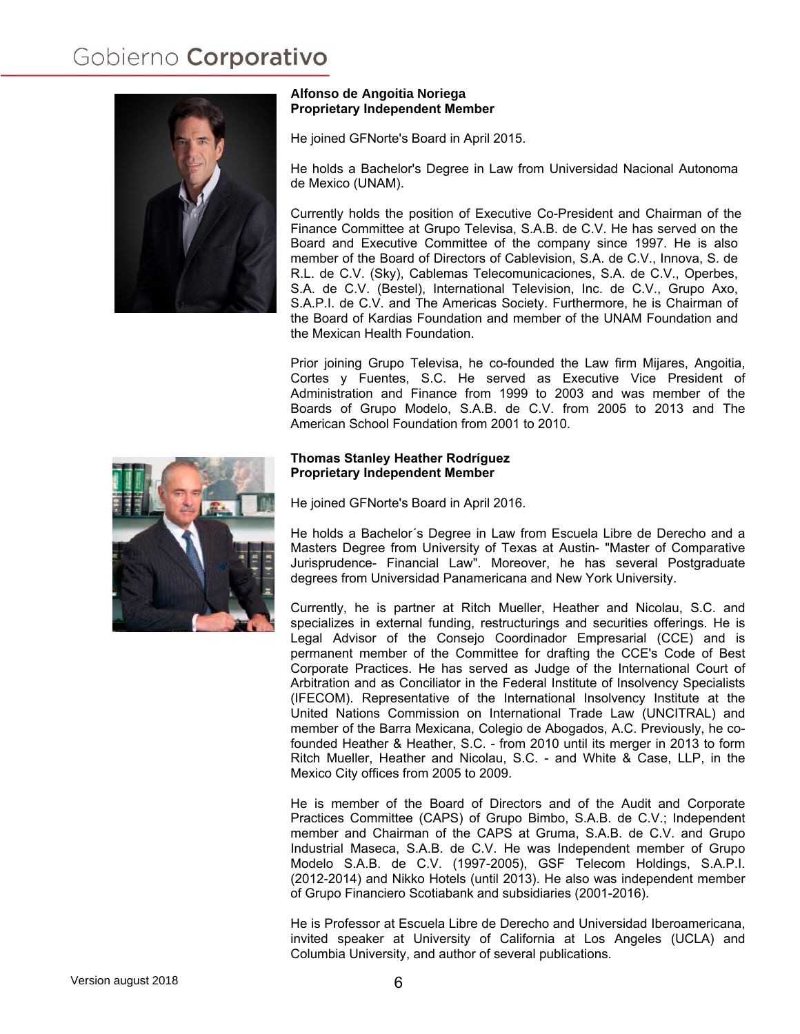

## **Alfonso de Angoitia Noriega Proprietary Independent Member**

He joined GFNorte's Board in April 2015.

He holds a Bachelor's Degree in Law from Universidad Nacional Autonoma de Mexico (UNAM).

Currently holds the position of Executive Co-President and Chairman of the Finance Committee at Grupo Televisa, S.A.B. de C.V. He has served on the Board and Executive Committee of the company since 1997. He is also member of the Board of Directors of Cablevision, S.A. de C.V., Innova, S. de R.L. de C.V. (Sky), Cablemas Telecomunicaciones, S.A. de C.V., Operbes, S.A. de C.V. (Bestel), International Television, Inc. de C.V., Grupo Axo, S.A.P.I. de C.V. and The Americas Society. Furthermore, he is Chairman of the Board of Kardias Foundation and member of the UNAM Foundation and the Mexican Health Foundation.

Prior joining Grupo Televisa, he co-founded the Law firm Mijares, Angoitia, Cortes y Fuentes, S.C. He served as Executive Vice President of Administration and Finance from 1999 to 2003 and was member of the Boards of Grupo Modelo, S.A.B. de C.V. from 2005 to 2013 and The American School Foundation from 2001 to 2010.

## **Thomas Stanley Heather Rodríguez Proprietary Independent Member**

He joined GFNorte's Board in April 2016.

He holds a Bachelor´s Degree in Law from Escuela Libre de Derecho and a Masters Degree from University of Texas at Austin- "Master of Comparative Jurisprudence- Financial Law". Moreover, he has several Postgraduate degrees from Universidad Panamericana and New York University.

Currently, he is partner at Ritch Mueller, Heather and Nicolau, S.C. and specializes in external funding, restructurings and securities offerings. He is Legal Advisor of the Consejo Coordinador Empresarial (CCE) and is permanent member of the Committee for drafting the CCE's Code of Best Corporate Practices. He has served as Judge of the International Court of Arbitration and as Conciliator in the Federal Institute of Insolvency Specialists (IFECOM). Representative of the International Insolvency Institute at the United Nations Commission on International Trade Law (UNCITRAL) and member of the Barra Mexicana, Colegio de Abogados, A.C. Previously, he cofounded Heather & Heather, S.C. - from 2010 until its merger in 2013 to form Ritch Mueller, Heather and Nicolau, S.C. - and White & Case, LLP, in the Mexico City offices from 2005 to 2009.

He is member of the Board of Directors and of the Audit and Corporate Practices Committee (CAPS) of Grupo Bimbo, S.A.B. de C.V.; Independent member and Chairman of the CAPS at Gruma, S.A.B. de C.V. and Grupo Industrial Maseca, S.A.B. de C.V. He was Independent member of Grupo Modelo S.A.B. de C.V. (1997-2005), GSF Telecom Holdings, S.A.P.I. (2012-2014) and Nikko Hotels (until 2013). He also was independent member of Grupo Financiero Scotiabank and subsidiaries (2001-2016).

He is Professor at Escuela Libre de Derecho and Universidad Iberoamericana, invited speaker at University of California at Los Angeles (UCLA) and Columbia University, and author of several publications.